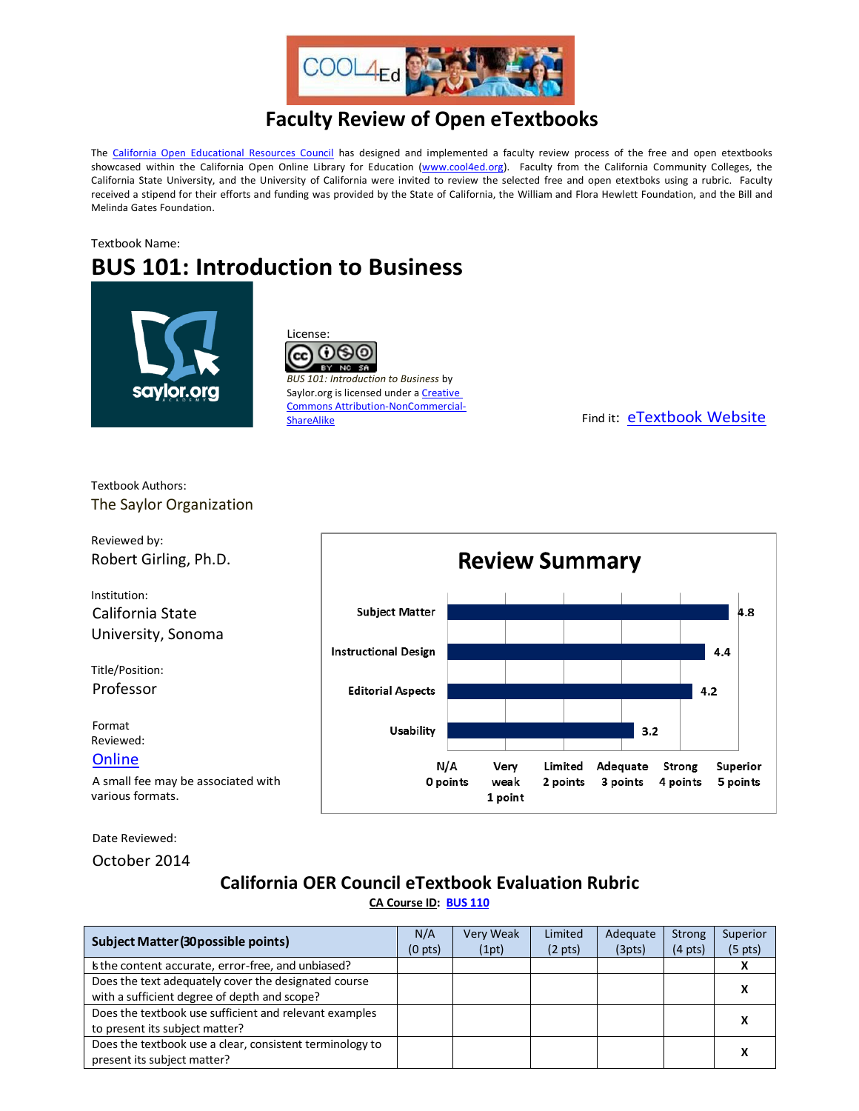

## **Faculty Review of Open eTextbooks**

The [California Open Educational Resources Council](http://icas-ca.org/coerc) has designed and implemented a faculty review process of the free and open etextbooks showcased within the California Open Online Library for Education [\(www.cool4ed.org\)](http://www.cool4ed.org/). Faculty from the California Community Colleges, the California State University, and the University of California were invited to review the selected free and open etextboks using a rubric. Faculty received a stipend for their efforts and funding was provided by the State of California, the William and Flora Hewlett Foundation, and the Bill and Melinda Gates Foundation.

## Textbook Name: **BUS 101: Introduction to Business**



License:  $0.90$ (cc)  $NC$   $SR$ *BUS 101: Introduction to Business* by Saylor.org is licensed under a **Creative** Commons Attribution-NonCommercial-<br>ShareAlike

Find it: [eTextbook Website](https://learn.saylor.org/course/bus101)

Textbook Authors: The Saylor Organization

Reviewed by: Robert Girling, Ph.D.

Institution: California State University, Sonoma

Title/Position: Professor

Format Reviewed: **[Online](https://learn.saylor.org/course/bus101)** 

A small fee may be associated with various formats.

Date Reviewed:

October 2014

## **California OER Council eTextbook Evaluation Rubric**

**[CA Course ID:](https://c-id.net/about.html) [BUS 110](https://c-id.net/descriptor_details.html?descriptor=306&submitbtn=Go)**

| <b>Subject Matter (30 possible points)</b>               |  | <b>Very Weak</b> | Limited           | Adequate | Strong            | Superior            |
|----------------------------------------------------------|--|------------------|-------------------|----------|-------------------|---------------------|
|                                                          |  | (1pt)            | $(2 \text{ pts})$ | (3pts)   | $(4 \text{ pts})$ | (5 <sub>pts</sub> ) |
| is the content accurate, error-free, and unbiased?       |  |                  |                   |          |                   |                     |
| Does the text adequately cover the designated course     |  |                  |                   |          |                   |                     |
| with a sufficient degree of depth and scope?             |  |                  |                   |          |                   |                     |
| Does the textbook use sufficient and relevant examples   |  |                  |                   |          |                   |                     |
| to present its subject matter?                           |  |                  |                   |          |                   |                     |
| Does the textbook use a clear, consistent terminology to |  |                  |                   |          |                   |                     |
| present its subject matter?                              |  |                  |                   |          |                   |                     |

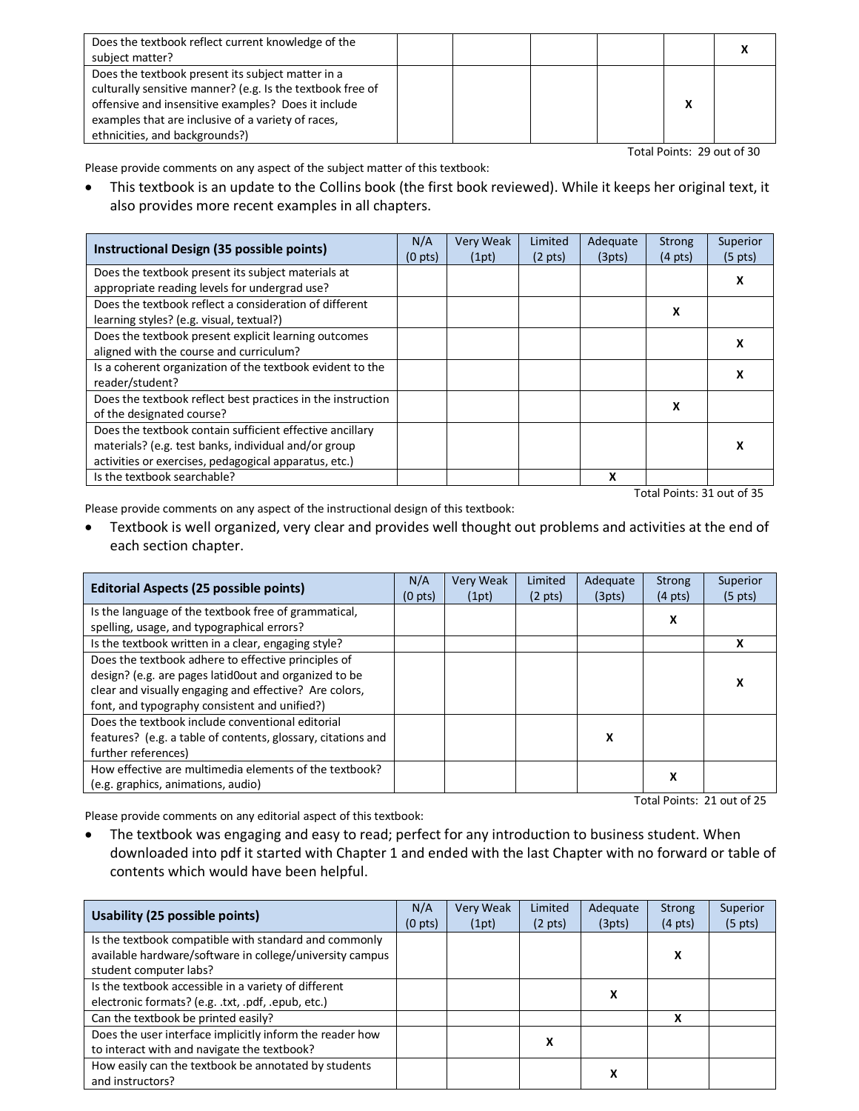| Does the textbook reflect current knowledge of the<br>subject matter?                                                                                                                                                                                          |  |  |  |
|----------------------------------------------------------------------------------------------------------------------------------------------------------------------------------------------------------------------------------------------------------------|--|--|--|
| Does the textbook present its subject matter in a<br>culturally sensitive manner? (e.g. Is the textbook free of<br>offensive and insensitive examples? Does it include<br>examples that are inclusive of a variety of races,<br>ethnicities, and backgrounds?) |  |  |  |

Total Points: 29 out of 30

Please provide comments on any aspect of the subject matter of this textbook:

• This textbook is an update to the Collins book (the first book reviewed). While it keeps her original text, it also provides more recent examples in all chapters.

| Instructional Design (35 possible points)                   | N/A<br>(0 <sub>pts</sub> ) | Very Weak<br>(1pt) | Limited<br>$(2 \text{ pts})$ | Adequate<br>(3pts) | Strong<br>$(4 \text{ pts})$ | Superior<br>$(5 \text{ pts})$ |
|-------------------------------------------------------------|----------------------------|--------------------|------------------------------|--------------------|-----------------------------|-------------------------------|
| Does the textbook present its subject materials at          |                            |                    |                              |                    |                             |                               |
| appropriate reading levels for undergrad use?               |                            |                    |                              |                    |                             |                               |
| Does the textbook reflect a consideration of different      |                            |                    |                              |                    | х                           |                               |
| learning styles? (e.g. visual, textual?)                    |                            |                    |                              |                    |                             |                               |
| Does the textbook present explicit learning outcomes        |                            |                    |                              |                    |                             |                               |
| aligned with the course and curriculum?                     |                            |                    |                              |                    |                             |                               |
| Is a coherent organization of the textbook evident to the   |                            |                    |                              |                    |                             |                               |
| reader/student?                                             |                            |                    |                              |                    |                             |                               |
| Does the textbook reflect best practices in the instruction |                            |                    |                              |                    | x                           |                               |
| of the designated course?                                   |                            |                    |                              |                    |                             |                               |
| Does the textbook contain sufficient effective ancillary    |                            |                    |                              |                    |                             |                               |
| materials? (e.g. test banks, individual and/or group        |                            |                    |                              |                    |                             |                               |
| activities or exercises, pedagogical apparatus, etc.)       |                            |                    |                              |                    |                             |                               |
| Is the textbook searchable?                                 |                            |                    |                              | x                  |                             |                               |

Total Points: 31 out of 35

Please provide comments on any aspect of the instructional design of this textbook:

• Textbook is well organized, very clear and provides well thought out problems and activities at the end of each section chapter.

| Editorial Aspects (25 possible points)                       | N/A<br>(0 <sub>pts</sub> ) | <b>Very Weak</b><br>(1pt) | Limited<br>$(2 \text{ pts})$ | Adequate<br>(3pts) | <b>Strong</b><br>$(4 \text{ pts})$ | <b>Superior</b><br>$(5 \text{ pts})$ |
|--------------------------------------------------------------|----------------------------|---------------------------|------------------------------|--------------------|------------------------------------|--------------------------------------|
| Is the language of the textbook free of grammatical,         |                            |                           |                              |                    | X                                  |                                      |
| spelling, usage, and typographical errors?                   |                            |                           |                              |                    |                                    |                                      |
| Is the textbook written in a clear, engaging style?          |                            |                           |                              |                    |                                    | x                                    |
| Does the textbook adhere to effective principles of          |                            |                           |                              |                    |                                    |                                      |
| design? (e.g. are pages latid0out and organized to be        |                            |                           |                              |                    |                                    | х                                    |
| clear and visually engaging and effective? Are colors,       |                            |                           |                              |                    |                                    |                                      |
| font, and typography consistent and unified?)                |                            |                           |                              |                    |                                    |                                      |
| Does the textbook include conventional editorial             |                            |                           |                              |                    |                                    |                                      |
| features? (e.g. a table of contents, glossary, citations and |                            |                           |                              | X                  |                                    |                                      |
| further references)                                          |                            |                           |                              |                    |                                    |                                      |
| How effective are multimedia elements of the textbook?       |                            |                           |                              |                    | x                                  |                                      |
| (e.g. graphics, animations, audio)                           |                            |                           |                              |                    |                                    |                                      |
| Total Points: 21 out of 25                                   |                            |                           |                              |                    |                                    |                                      |

Please provide comments on any editorial aspect of this textbook:

• The textbook was engaging and easy to read; perfect for any introduction to business student. When downloaded into pdf it started with Chapter 1 and ended with the last Chapter with no forward or table of contents which would have been helpful.

| Usability (25 possible points)                           |  | <b>Very Weak</b> | Limited           | Adequate | <b>Strong</b>     | Superior          |
|----------------------------------------------------------|--|------------------|-------------------|----------|-------------------|-------------------|
|                                                          |  | (1pt)            | $(2 \text{ pts})$ | (3pts)   | $(4 \text{ pts})$ | $(5 \text{ pts})$ |
| Is the textbook compatible with standard and commonly    |  |                  |                   |          |                   |                   |
| available hardware/software in college/university campus |  |                  |                   |          | x                 |                   |
| student computer labs?                                   |  |                  |                   |          |                   |                   |
| Is the textbook accessible in a variety of different     |  |                  |                   | x        |                   |                   |
| electronic formats? (e.g. .txt, .pdf, .epub, etc.)       |  |                  |                   |          |                   |                   |
| Can the textbook be printed easily?                      |  |                  |                   |          | x                 |                   |
| Does the user interface implicitly inform the reader how |  |                  | х                 |          |                   |                   |
| to interact with and navigate the textbook?              |  |                  |                   |          |                   |                   |
| How easily can the textbook be annotated by students     |  |                  |                   |          |                   |                   |
| and instructors?                                         |  |                  |                   | х        |                   |                   |